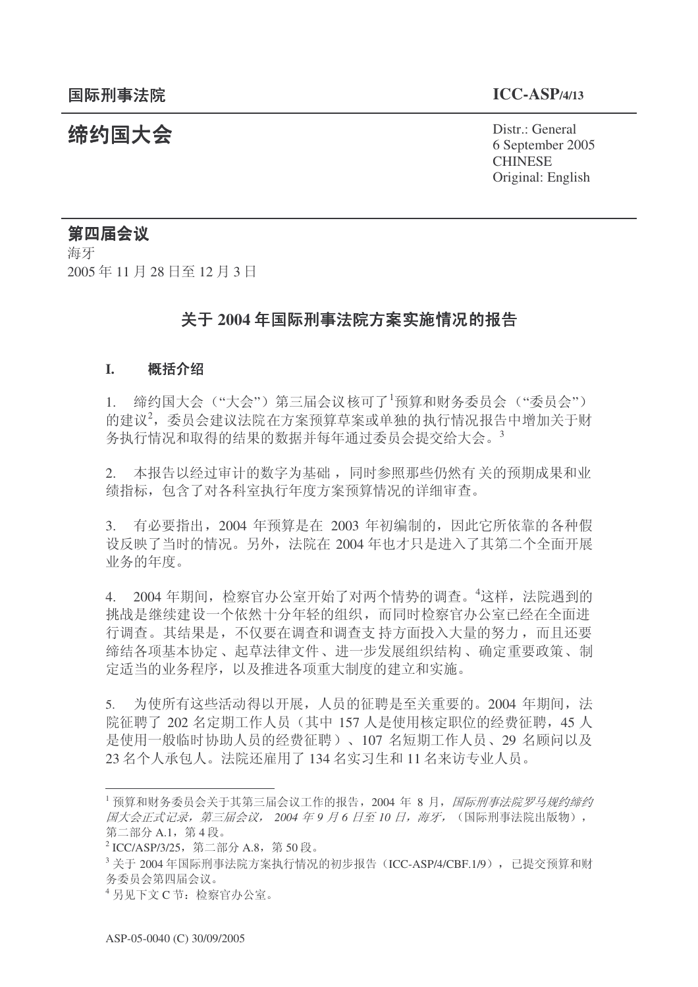**缔约国大会**<br>◆ Distr.: General 6 September 2005 **CHINESE** Original: English

# 第四届会议

海牙 2005年11月28日至12月3日

# 关于 2004 年国际刑事法院方案实施情况的报告

## **I.** 概括介绍

1. 缔约国大会 ("大会") 第三届会议核可了<sup>1</sup>预算和财务委员会  $($  "委员会" 的建议2,委员会建议法院在方案预算草案或单独的执行情况报告中增加关于财 务执行情况和取得的结果的数据并每年通过委员会提交给大会。<sup>3</sup>

2. 本报告以经过审计的数字为基础,同时参照那些仍然有关的预期成果和业 绩指标, 包含了对各科室执行年度方案预算情况的详细审查。

3. 有必要指出, 2004 年预算是在 2003 年初编制的, 因此它所依靠的各种假 设反映了当时的情况。另外, 法院在 2004 年也才只是进入了其第二个全面开展 业务的年度。

4. 2004 年期间, 检察官办公室开始了对两个情势的调查。<sup>4</sup>这样, 法院遇到的 挑战是继续建设一个依然十分年轻的组织,而同时检察官办公室已经在全面进 行调查。其结果是,不仅要在调查和调查支持方面投入大量的努力,而且还要 缔结各项基本协定、起草法律文件、进一步发展组织结构、确定重要政策、制 定适当的业务程序, 以及推进各项重大制度的建立和实施。

5. 为使所有这些活动得以开展, 人员的征聘是至关重要的。2004 年期间, 法 院征聘了 202 名定期工作人员(其中 157 人是使用核定职位的经费征聘, 45 人 是使用一般临时协助人员的经费征聘)、107 名短期工作人员、29 名顾问以及 23 名个人承包人。法院还雇用了 134 名实习生和 11 名来访专业人员。

<sup>1</sup> 预算和财务委员会关于其第三届会议工作的报告, 2004 年 8 月, *国际刑事法院罗马规约缔约* 图大会正式记录, 第三届会议, 2004 年 9 月 6 日至 10 日, 海牙, (国际刑事法院出版物), 第二部分 A.1, 第4段。

<sup>&</sup>lt;sup>2</sup> ICC/ASP/3/25, 第二部分 A.8, 第 50 段。

 $^3$  关于 2004 年国际刑事法院方案执行情况的初步报告 (ICC-ASP/4/CBF.1/9), 已提交预算和财 务委员会第四届会议。

<sup>4</sup> 另见下文 C 节: 检察官办公室。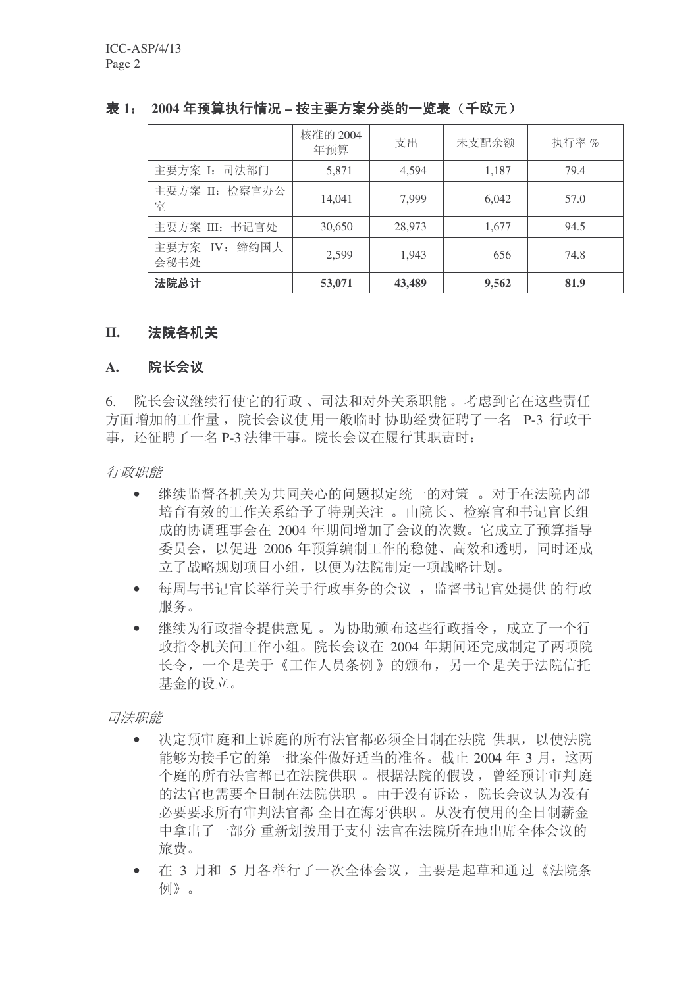# 表 1: 2004 年预算执行情况 - 按主要方案分类的一览表 (千欧元)

|                       | 核准的 2004<br>年预算 | 支出     | 未支配余额 | 执行率% |
|-----------------------|-----------------|--------|-------|------|
| 主要方案 I: 司法部门          | 5,871           | 4,594  | 1,187 | 79.4 |
| 主要方案 II: 检察官办公<br>室   | 14,041          | 7,999  | 6,042 | 57.0 |
| 主要方案 III: 书记官处        | 30,650          | 28,973 | 1,677 | 94.5 |
| 主要方案 IV: 缔约国大<br>会秘书处 | 2,599           | 1,943  | 656   | 74.8 |
| 法院总计                  | 53,071          | 43,489 | 9,562 | 81.9 |

## Ⅱ. 法院各机关

## A. 院长会议

6. 院长会议继续行使它的行政、司法和对外关系职能。考虑到它在这些责任 方面增加的工作量, 院长会议使 用一般临时 协助经费征聘了一名 P-3 行政干 事, 还征聘了一名 P-3 法律干事。院长会议在履行其职责时:

行政职能

- 继续监督各机关为共同关心的问题拟定统一的对策。对于在法院内部 培育有效的工作关系给予了特别关注。 由院长、检察官和书记官长组 成的协调理事会在 2004 年期间增加了会议的次数。它成立了预算指导 委员会, 以促进 2006 年预算编制工作的稳健、高效和透明, 同时还成 立了战略规划项目小组, 以便为法院制定一项战略计划。
- 每周与书记官长举行关于行政事务的会议, 监督书记官处提供 的行政 服务。
- 继续为行政指令提供意见。为协助颁布这些行政指令, 成立了一个行 政指令机关间工作小组。院长会议在 2004 年期间还完成制定了两项院 长令, 一个是关于《工作人员条例》的颁布, 另一个是关于法院信托 基金的设立。

司法职能

- 决定预审庭和上诉庭的所有法官都必须全日制在法院供职,以使法院 能够为接手它的第一批案件做好适当的准备。截止 2004 年 3 月, 这两 个庭的所有法官都已在法院供职。根据法院的假设, 曾经预计审判庭 的法官也需要全日制在法院供职。 由于没有诉讼, 院长会议认为没有 必要要求所有审判法官都 全日在海牙供职。从没有使用的全日制薪金 中拿出了一部分 重新划拨用于支付 法官在法院所在地出席全体会议的 旅费。
- 在 3 月和 5 月各举行了一次全体会议, 主要是起草和通过《法院条 杨门》。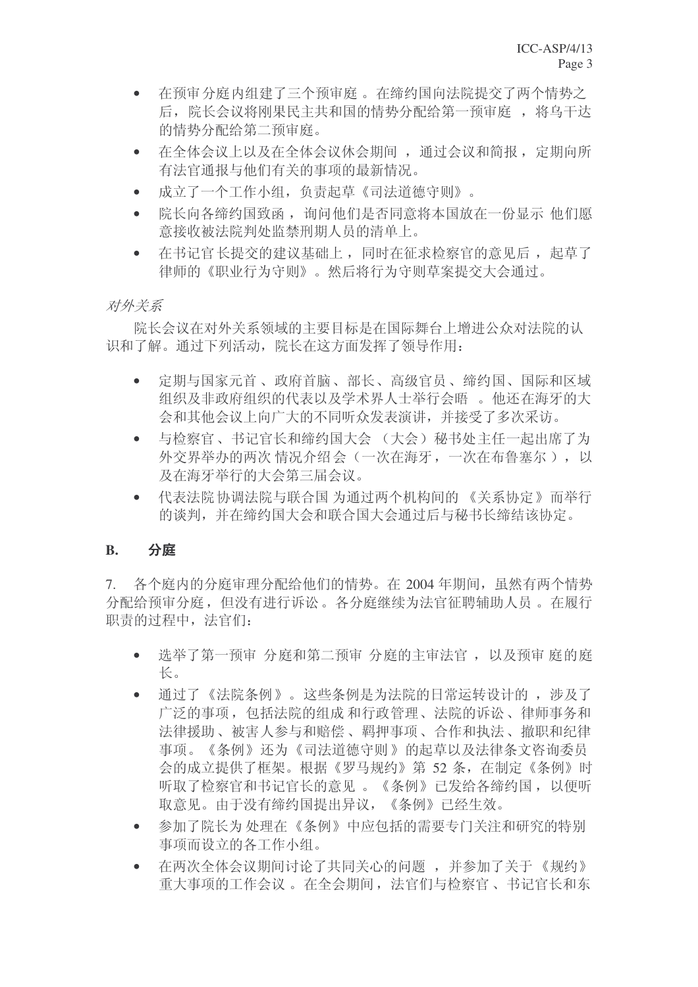- 在预审分庭内组建了三个预审庭。在缔约国向法院提交了两个情势之 后, 院长会议将刚果民主共和国的情势分配给第一预审庭, 将乌干达 的情势分配给第二预审庭。
- 在全体会议 上以及在全体会议休会期间, 通过会议和简报, 定期向所 有法官通报与他们有关的事项的最新情况。
- 成立了一个工作小组, 负责起草《司法道德守则》。
- 院长向各缔约国致函, 询问他们是否同意将本国放在一份显示 他们愿 意接收被法院判处监禁刑期人员的清单上。
- 在书记官长提交的建议基础上,同时在征求检察官的意见后,起草了 律师的《职业行为守则》。然后将行为守则草案提交大会通过。

# 对外关系

院长会议在对外关系领域的主要目标是在国际舞台上增进公众对法院的认 识和了解。通过下列活动, 院长在这方面发挥了领导作用:

- 定期与国家元首、政府首脑、部长、高级官员、缔约国、国际和区域 组织及非政府组织的代表以及学术界人士举行会晤。他还在海牙的大 会和其他会议上向广大的不同听众发表演讲,并接受了多次采访。
- 与检察官、书记官长和缔约国大会 (大会) 秘书处主任一起出席了为 外交界举办的两次情况介绍会(一次在海牙,一次在布鲁塞尔),以 及在海牙举行的大会第三届会议。
- 代表法院 协调法院与联合国 为通过两个机构间的 《关系协定》而举行 的谈判,并在缔约国大会和联合国大会通过后与秘书长缔结该协定。

# **B.** 分庭

7. 各个庭内的分庭审理分配给他们的情势。在 2004 年期间, 虽然有两个情势 分配给预审分庭, 但没有讲行诉讼。各分庭继续为法官征聘辅助人员。在履行 职责的过程中, 法官们:

- 选举了第一预审 分庭和第二预审 分庭的主审法官, 以及预审 庭的庭 长。
- 通过了《法院条例》。这些条例是为法院的日常运转设计的, 涉及了 广泛的事项, 包括法院的组成和行政管理、法院的诉讼、律师事务和 法律援助、被害人参与和赔偿、羁押事项、合作和执法、撤职和纪律 事项。《条例》还为《司法道德守则》的起草以及法律条文咨询委员 会的成立提供了框架。根据《罗马规约》第52条, 在制定《条例》时 听取了检察官和书记官长的意见。《条例》已发给各缔约国, 以便听 取意见。由于没有缔约国提出异议,《条例》已经生效。
- 参加了院长为处理在《条例》中应包括的需要专门关注和研究的特别 事项而设立的各工作小组。
- 在两次全体会议期间讨论了共同关心的问题,并参加了关于《规约》 重大事项的工作会议。在全会期间, 法官们与检察官、书记官长和东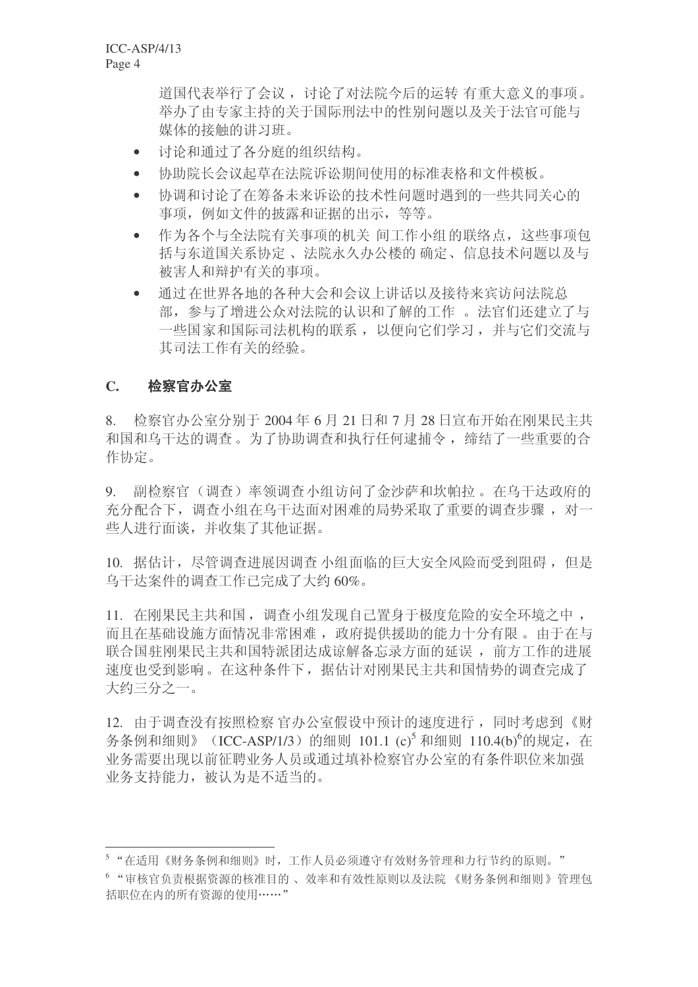道国代表举行了会议, 讨论了对法院今后的运转 有重大意义的事项。 举办了由专家主持的关于国际刑法中的性别问题以及关于法官可能与 媒体的接触的讲习班。

- 讨论和通讨了各分庭的组织结构。
- 协助院长会议起草在法院诉讼期间使用的标准表格和文件模板。
- 协调和讨论了在筹备未来诉讼的技术性问题时遇到的一些共同关心的 事项, 例如文件的披露和证据的出示, 等等。
- 作为各个与全法院有关事项的机关 间工作小组的联络点, 这些事项句 括与东道国关系协定、法院永久办公楼的确定、信息技术问题以及与 被害人和辩护有关的事项。
- 通过在世界各地的各种大会和会议上讲话以及接待来宾访问法院总 部, 参与了增进公众对法院的认识和了解的工作。 法官们还建立了与 一些国家和国际司法机构的联系, 以便向它们学习, 并与它们交流与 其司法工作有关的经验。

## C. 检察官办公室

 $8.$  检察官办公室分别于 2004 年 6 月 21 日和 7 月 28 日官布开始在刚果民主共 和国和乌干达的调查。为了协助调查和执行任何逮捕令, 缔结了一些重要的合 作协定。

9. 副检察官(调查)率领调查小组访问了金沙萨和坎帕拉。在乌干达政府的 充分配合下, 调查小组在乌干达面对困难的局势采取了重要的调查步骤, 对一 些人讲行面谈,并收集了其他证据。

10. 据估计, 尽管调杳讲展因调杳 小组面临的巨大安全风险而受到阻碍, 但是 乌干达案件的调查工作已完成了大约60%。

11. 在刚果民主共和国, 调查小组发现自己置身于极度危险的安全环境之中, 而且在基础设施方面情况非常困难, 政府提供援助的能力十分有限。由于在与 联合国驻刚果民主共和国特派团达成谅解备忘录方面的延误, 前方工作的进展 速度也受到影响。在这种条件下,据估计对刚果民主共和国情势的调查完成了 大约三分之一。

12. 由于调查没有按照检察宫办公室假设中预计的速度进行,同时考虑到《财 务条例和细则》(ICC-ASP/1/3)的细则 101.1 (c)<sup>5</sup> 和细则 110.4(b)<sup>6</sup>的规定, 在 业务需要出现以前征聘业务人员或通过填补检察官办公室的有条件职位来加强 业务支持能力, 被认为是不适当的。

<sup>5 &</sup>quot;在适用《财务条例和细则》时,工作人员必须遵守有效财务管理和力行节约的原则。"

<sup>6 &</sup>quot;审核官负责根据资源的核准目的、效率和有效性原则以及法院《财务条例和细则》管理包 括职位在内的所有资源的使用……"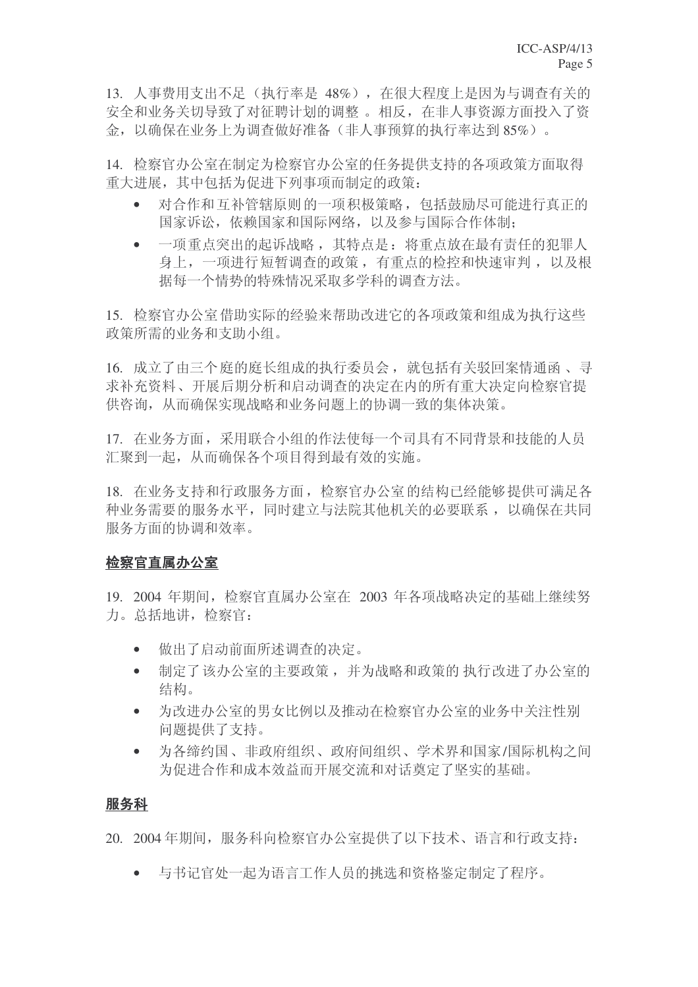13. 人事费用支出不足(执行率是 48%), 在很大程度上是因为与调查有关的 安全和业务关切导致了对征聘计划的调整。相反, 在非人事资源方面投入了资 金, 以确保在业务上为调查做好准备(非人事预算的执行率达到85%)。

14. 检察官办公室在制定为检察官办公室的任务提供支持的各项政策方面取得 重大进展, 其中包括为促进下列事项而制定的政策:

- 对合作和互补管辖原则的一项积极策略,包括鼓励尽可能进行真正的 国家诉讼, 依赖国家和国际网络, 以及参与国际合作体制;
- 一项重点突出的起诉战略, 其特点是: 将重点放在最有责任的犯罪人 身上, 一项进行短暂调杳的政策, 有重点的检控和快速审判, 以及根 据每一个情势的特殊情况采取多学科的调查方法。

15. 检察官办公室借助实际的经验来帮助改进它的各项政策和组成为执行这些 政策所需的业务和支助小组。

16. 成立了由三个庭的庭长组成的执行委员会, 就包括有关驳回案情通函、寻 求补充资料、开展后期分析和启动调查的决定在内的所有重大决定向检察官提 供咨询, 从而确保实现战略和业务问题上的协调一致的集体决策。

17. 在业务方面, 采用联合小组的作法使每一个司具有不同背景和技能的人员 汇聚到一起, 从而确保各个项目得到最有效的实施。

18. 在业务支持和行政服务方面, 检察官办公室的结构已经能够提供可满足各 种业务需要的服务水平,同时建立与法院其他机关的必要联系,以确保在共同 服务方面的协调和效率。

# 检察官直属办公室

19. 2004 年期间, 检察官直属办公室在 2003 年各项战略决定的基础上继续努 力。总括地讲, 检察官:

- 做出了启动前面所述调查的决定。
- 制定了该办公室的主要政策, 并为战略和政策的 执行改进了办公室的 结构。
- 为改进办公室的男女比例以及推动在检察官办公室的业务中关注性别 问题提供了支持。
- 为各缔约国、非政府组织、政府间组织、学术界和国家/国际机构之间 为促进合作和成本效益而开展交流和对话奠定了坚实的基础。

# 服务科

20. 2004年期间, 服务科向检察官办公室提供了以下技术、语言和行政支持:

• 与书记官处一起为语言工作人员的挑选和资格鉴定制定了程序。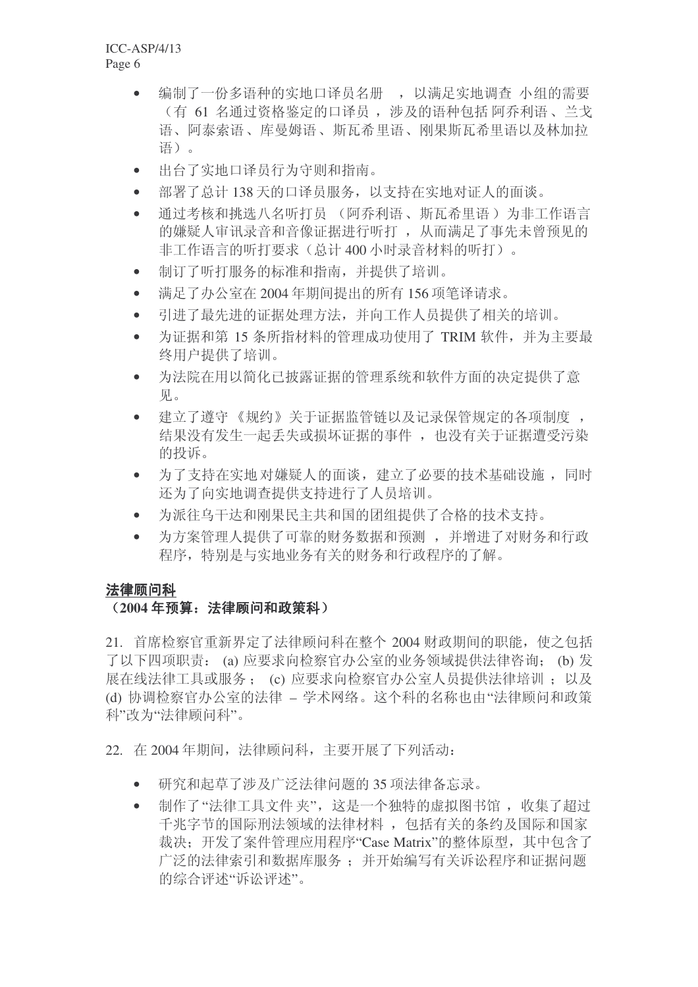- 编制了一份多语种的实地口译员名册,,以满足实地调查 小组的需要 (有 61 名通过资格鉴定的口译员, 涉及的语种包括 阿乔利语、兰戈 语、阿泰索语、库曼姆语、斯瓦希里语、刚果斯瓦希里语以及林加拉 语)。
- 出台了实地口译员行为守则和指南。
- 部署了总计 138 天的口译员服务, 以支持在实地对证人的面谈。
- 通过考核和挑选八名听打员 (阿乔利语、斯瓦希里语) 为非工作语言 的嫌疑人审讯录音和音像证据进行听打, 从而满足了事先未曾预见的 非工作语言的听打要求(总计400小时录音材料的听打)。
- 制订了听打服务的标准和指南,并提供了培训。
- 满足了办公室在 2004 年期间提出的所有 156 项笔译请求。
- 引讲了最先讲的证据处理方法, 并向工作人员提供了相关的培训。
- 为证据和第 15 条所指材料的管理成功使用了 TRIM 软件, 并为主要最 终用户提供了培训。
- 为法院在用以简化已披露证据的管理系统和软件方面的决定提供了意 团。
- 建立了遵守《规约》关于证据监管链以及记录保管规定的各项制度, 结果没有发生一起丢失或损坏证据的事件, 也没有关于证据遭受污染 的投诉。
- 为了支持在实地对嫌疑人的面谈,建立了必要的技术基础设施,同时 还为了向实地调查提供支持进行了人员培训。
- 为派往乌干达和刚果民主共和国的团组提供了合格的技术支持。
- 为方案管理人提供了可靠的财务数据和预测,并增进了对财务和行政 程序,特别是与实地业务有关的财务和行政程序的了解。

# 法律顾问科

# (2004年预算: 法律顾问和政策科)

21. 首席检察官重新界定了法律顾问科在整个 2004 财政期间的职能, 使之包括 了以下四项职责: (a) 应要求向检察官办公室的业务领域提供法律咨询: (b) 发 展在线法律工具或服务; (c) 应要求向检察官办公室人员提供法律培训; 以及 (d) 协调检察官办公室的法律 – 学术网络。这个科的名称也由"法律顾问和政策 科"改为"法律顾问科"。

22. 在2004年期间, 法律顾问科, 主要开展了下列活动:

- 研究和起草了涉及广泛法律问题的 35 项法律备忘录。
- 制作了"法律工具文件 夹", 这是一个独特的虚拟图书馆, 收集了超过 千兆字节的国际刑法领域的法律材料, 包括有关的条约及国际和国家 裁决: 开发了案件管理应用程序"Case Matrix"的整体原型, 其中包含了 广泛的法律索引和数据库服务; 并开始编写有关诉讼程序和证据问题 的综合评述"诉讼评述"。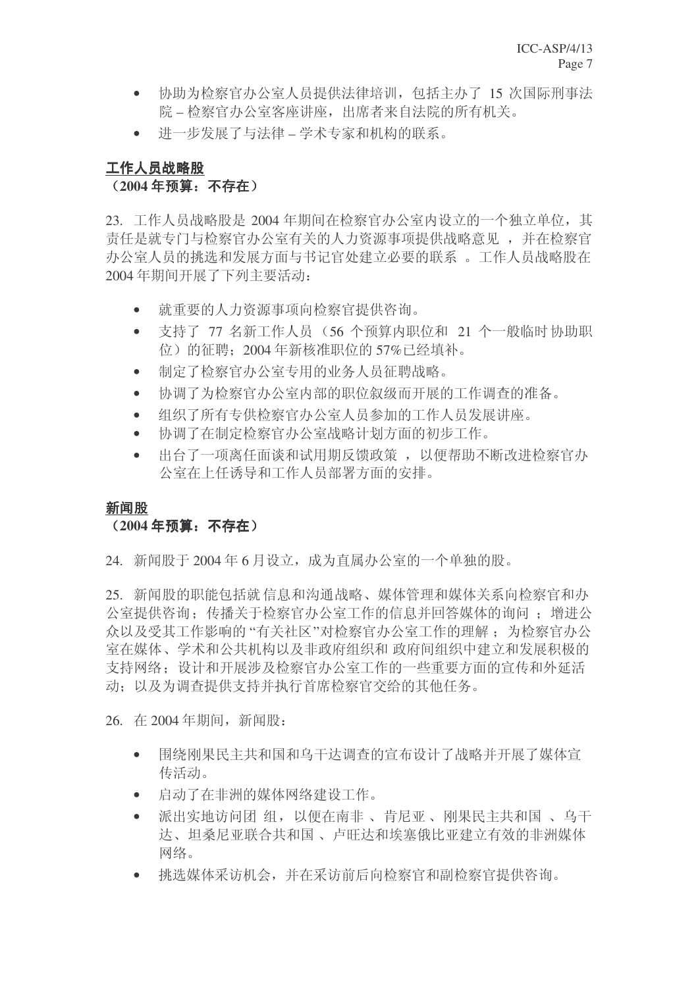- 协助为检察官办公室人员提供法律培训, 包括主办了 15 次国际刑事法 院-检察官办公室客座讲座, 出席者来自法院的所有机关。
- 进一步发展了与法律 学术专家和机构的联系。

# 工作人员战略股

# (2004年预算: 不存在)

23. 工作人员战略股是 2004 年期间在检察官办公室内设立的一个独立单位,其 责任是就专门与检察官办公室有关的人力资源事项提供战略意见, 并在检察官 办公室人员的挑选和发展方面与书记官处建立必要的联系。工作人员战略股在 2004 年期间开展了下列主要活动:

- 就重要的人力资源事项向检察官提供咨询。
- 支持了 77 名新工作人员 (56 个预算内职位和 21 个一般临时协助职 位)的征聘; 2004年新核准职位的 57%已经填补。
- 制定了检察官办公室专用的业务人员征聘战略。
- 协调了为检察官办公室内部的职位叙级而开展的工作调查的准备。
- 组织了所有专供检察官办公室人员参加的工作人员发展讲座。
- 协调了在制定检察官办公室战略计划方面的初步工作。
- 出台了一项离任面谈和试用期反馈政策, 以便帮助不断改进检察官办 公室在上任诱导和工作人员部署方面的安排。

# 新闻股

# (2004年预算: 不存在)

24. 新闻股于 2004年6月设立,成为直属办公室的一个单独的股。

25. 新闻股的职能包括就信息和沟通战略、媒体管理和媒体关系向检察官和办 公室提供咨询: 传播关于检察官办公室工作的信息并回答媒体的询问: 增进公 众以及受其工作影响的"有关社区"对检察官办公室工作的理解: 为检察官办公 室在媒体、学术和公共机构以及非政府组织和 政府间组织中建立和发展积极的 支持网络: 设计和开展涉及检察官办公室工作的一些重要方面的宣传和外延活 动; 以及为调查提供支持并执行首席检察官交给的其他任务。

26. 在 2004年期间, 新闻股:

- 围绕刚果民主共和国和乌干达调杳的宣布设计了战略并开展了媒体宣 传活动。
- 启动了在非洲的媒体网络建设工作。
- 派出实地访问团 组, 以便在南非、肯尼亚、刚果民主共和国、乌干 达、坦桑尼亚联合共和国、卢旺达和埃塞俄比亚建立有效的非洲媒体 网络。
- 挑选媒体采访机会,并在采访前后向检察官和副检察官提供咨询。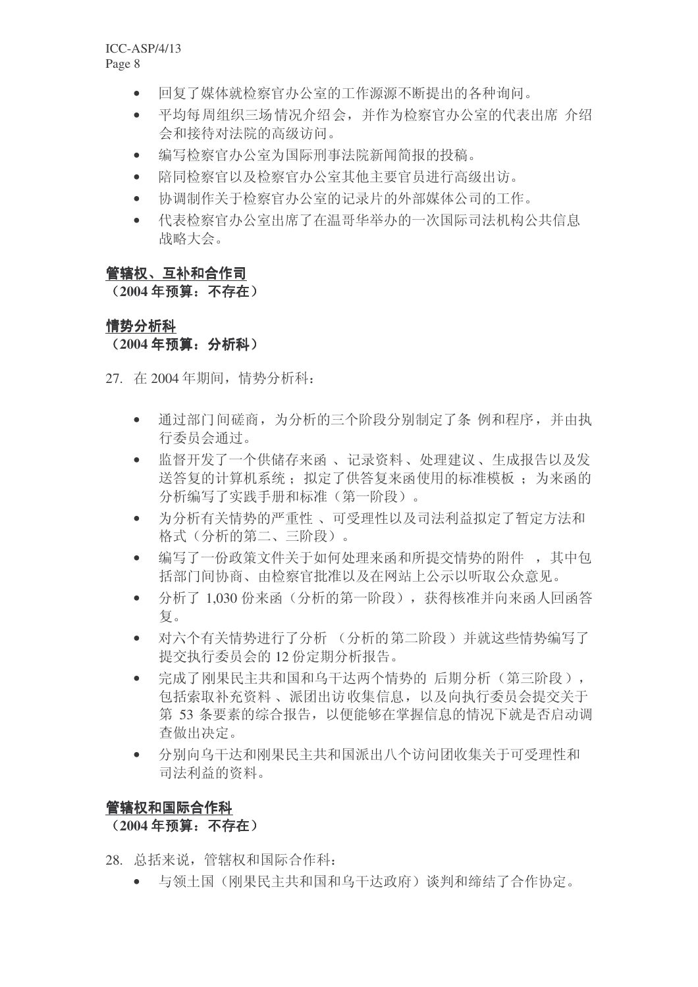- 回复了媒体就检察官办公室的工作源源不断提出的各种询问。
- 平均每周组织三场情况介绍会, 并作为检察官办公室的代表出席 介绍 会和接待对法院的高级访问。
- 编写检察官办公室为国际刑事法院新闻简报的投稿。
- 陪同检察官以及检察官办公室其他主要官员讲行高级出访。
- 协调制作关于检察官办公室的记录片的外部媒体公司的工作。
- 代表检察官办公室出席了在温哥华举办的一次国际司法机构公共信息 战略大会。

# 管辖权、互补和合作司

## (2004年预算: 不存在)

# 情势分析科 (2004年预算: 分析科)

27. 在 2004年期间, 情势分析科:

- 通过部门间磋商, 为分析的三个阶段分别制定了条 例和程序, 并由执 行委员会通过。
- 监督开发了一个供储存来函、记录资料、处理建议、生成报告以及发 送答复的计算机系统; 拟定了供答复来函使用的标准模板; 为来函的 分析编写了实践手册和标准(第一阶段)。
- 为分析有关情势的严重性、可受理性以及司法利益拟定了暂定方法和 格式(分析的第二、三阶段)。
- 编写了一份政策文件关于如何处理来函和所提交情势的附件, 其中包 括部门间协商、由检察官批准以及在网站上公示以听取公众意见。
- 分析了 1.030 份来函(分析的第一阶段), 获得核准并向来函人回函答 复。
- 对六个有关情势进行了分析 (分析的第二阶段) 并就这些情势编写了 提交执行委员会的12 份定期分析报告。
- 完成了刚果民主共和国和乌干达两个情势的 后期分析 (第三阶段), 包括索取补充资料、派团出访收集信息, 以及向执行委员会提交关于 第 53 条要素的综合报告, 以便能够在掌握信息的情况下就是否启动调 查做出决定。
- 分别向乌干达和刚果民主共和国派出八个访问团收集关于可受理性和 司法利益的资料。

# 管辖权和国际合作科

# (2004年**预算: 不存在**)

28. 总括来说,管辖权和国际合作科:

• 与领土国(刚果民主共和国和乌干达政府)谈判和缔结了合作协定。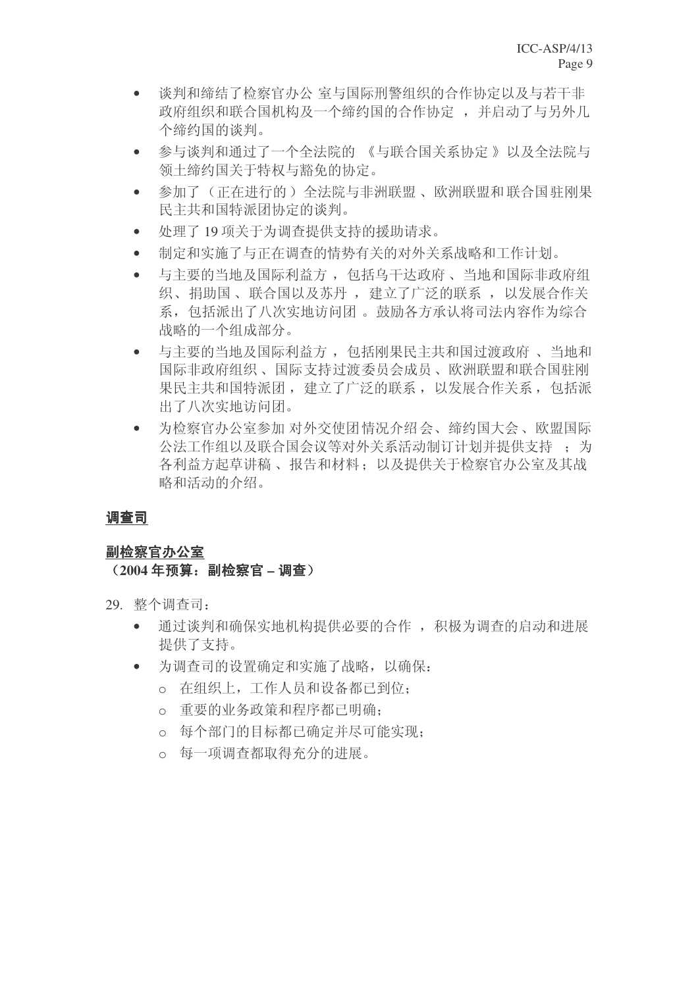- 谈判和缔结了检察官办公 室与国际刑警组织的合作协定以及与若干非 政府组织和联合国机构及一个缔约国的合作协定,并启动了与另外几 个缔约国的谈判。
- 参与谈判和通过了一个全法院的 《与联合国关系协定 》以及全法院与 领土缔约国关于特权与豁免的协定。
- 参加了(正在进行的)全法院与非洲联盟、欧洲联盟和联合国驻刚果 民主共和国特派团协定的谈判。
- 处理了19 项关于为调杳提供支持的援助请求。
- 制定和实施了与正在调查的情势有关的对外关系战略和工作计划。
- 与主要的当地及国际利益方, 包括乌干达政府、当地和国际非政府组 织、捐助国、联合国以及苏丹, 建立了广泛的联系, 以发展合作关 系, 包括派出了八次实地访问团。鼓励各方承认将司法内容作为综合 战略的一个组成部分。
- 与主要的当地及国际利益方, 包括刚果民主共和国过渡政府、 当地和 国际非政府组织、国际支持过渡委员会成员、欧洲联盟和联合国驻刚 果民主共和国特派团, 建立了广泛的联系, 以发展合作关系, 包括派 出了八次实地访问团。
- 为检察官办公室参加 对外交使团情况介绍会、缔约国大会、欧盟国际 公法工作组以及联合国会议等对外关系活动制订计划并提供支持: 各利益方起草讲稿、报告和材料: 以及提供关于检察官办公室及其战 略和活动的介绍。

# 调查司

# 副检察官办公室

# (2004年预算: 副检察官 – 调查)

- 29. 整个调查司:
	- 通过谈判和确保实地机构提供必要的合作, 积极为调查的启动和进展 提供了支持。
	- 为调查司的设置确定和实施了战略,以确保:
		- o 在组织上,工作人员和设备都已到位:
		- o 重要的业务政策和程序都已明确:
		- ⊙ 每个部门的目标都已确定并尽可能实现:
		- o 每一项调杳都取得充分的讲展。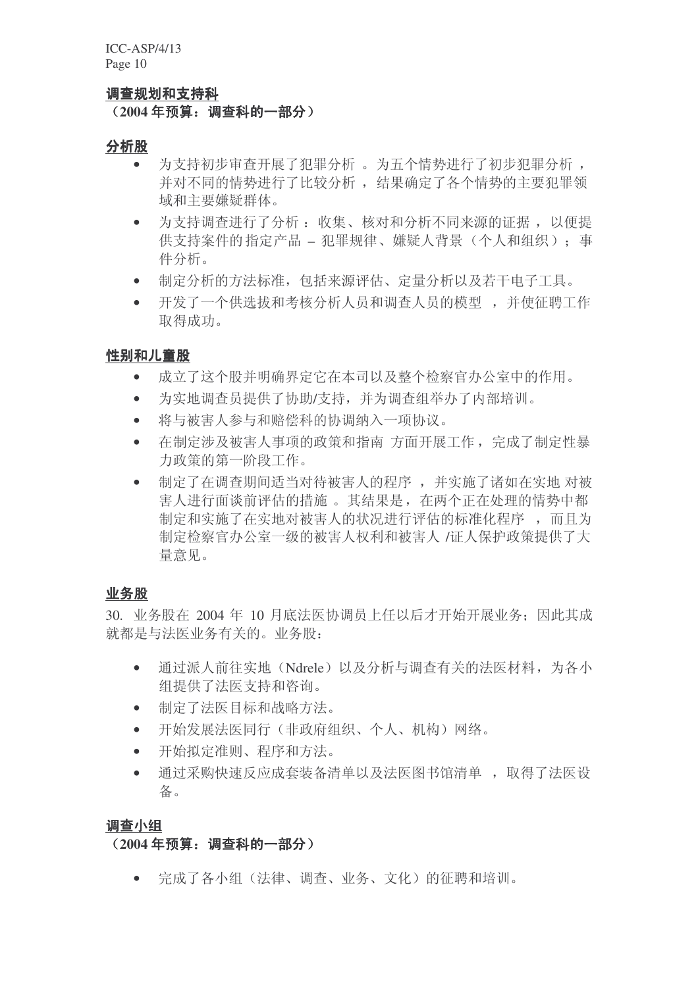#### 调查规划和支持科

## (2004年预算: 调查科的一部分)

#### 分析股

- 为支持初步审查开展了犯罪分析 。为五个情势进行了初步犯罪分析, 并对不同的情势进行了比较分析, 结果确定了各个情势的主要犯罪领 域和主要嫌疑群体。
- 为支持调查进行了分析: 收集、核对和分析不同来源的证据, 以便提 供支持案件的指定产品 – 犯罪规律、嫌疑人背景(个人和组织): 事 件分析。
- 制定分析的方法标准, 包括来源评估、定量分析以及若干电子工具。
- 开发了一个供选拔和考核分析人员和调查人员的模型,并使征聘工作 取得成功。

## 性别和儿童股

- 成立了这个股并明确界定它在本司以及整个检察官办公室中的作用。
- 为实地调杳员提供了协助/支持, 并为调查组举办了内部培训。
- 将与被害人参与和赔偿科的协调纳入一项协议。
- 在制定涉及被害人事项的政策和指南方面开展工作, 完成了制定性暴 力政策的第一阶段工作。
- 制定了在调查期间适当对待被害人的程序,并实施了诸如在实地 对被 害人讲行面谈前评估的措施。其结果是, 在两个正在处理的情势中都 制定和实施了在实地对被害人的状况进行评估的标准化程序,而且为 制定检察官办公室一级的被害人权利和被害人 /证人保护政策提供了大 量意见。

## 业务股

 $30.$  业务股在 2004 年 10 月底法医协调员上任以后才开始开展业务: 因此其成 就都是与法医业务有关的。业务股:

- 通过派人前往实地(Ndrele)以及分析与调查有关的法医材料, 为各小 组提供了法医支持和咨询。
- 制定了法医目标和战略方法。
- 开始发展法医同行(非政府组织、个人、机构)网络。
- 开始拟定准则、程序和方法。
- 通过采购快速反应成套装备清单以及法医图书馆清单, 取得了法医设 备。

#### 调查小组

## (2004年预算: 调查科的一部分)

• 完成了各小组(法律、调杳、业务、文化)的征聘和培训。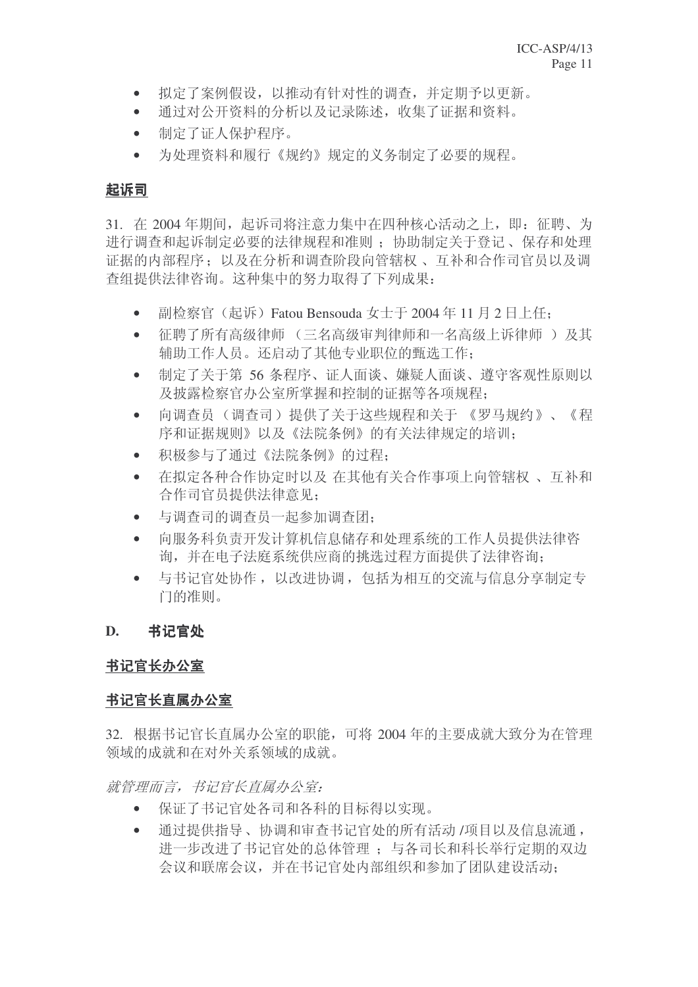- 拟定了案例假设, 以推动有针对性的调杳, 并定期予以更新。
- 通过对公开资料的分析以及记录陈述, 收集了证据和资料。
- 制定了证人保护程序。
- 为处理资料和履行《规约》规定的义务制定了必要的规程。

# 起诉司

31. 在 2004年期间, 起诉司将注意力集中在四种核心活动之上, 即: 征聘、为 进行调查和起诉制定必要的法律规程和准则: 协助制定关于登记、 保存和处理 证据的内部程序; 以及在分析和调查阶段向管辖权、互补和合作司官员以及调 杳组提供法律咨询。这种集中的努力取得了下列成果:

- 副检察官 (起诉) Fatou Bensouda 女士于 2004 年 11 月 2 日上任;
- 征聘了所有高级律师(三名高级审判律师和一名高级上诉律师)及其 辅助工作人员。还启动了其他专业职位的甄选工作:
- 制定了关于第 56 条程序、证人面谈、嫌疑人面谈、遵守客观性原则以 及披露检察官办公室所掌握和控制的证据等各项规程:
- 向调杳员(调杳司)提供了关于这些规程和关于 《罗马规约》、《程 序和证据规则》以及《法院条例》的有关法律规定的培训:
- 积极参与了通过《法院条例》的过程:
- 在拟定各种合作协定时以及 在其他有关合作事项上向管辖权、 互补和 合作司官员提供法律意见:
- 与调查司的调查员一起参加调查团;
- 向服务科负责开发计算机信息储存和处理系统的工作人员提供法律咨 询,并在电子法庭系统供应商的挑选过程方面提供了法律咨询:
- 与书记官处协作, 以改进协调, 包括为相互的交流与信息分享制定专 门的准则。

# **D.** 书记官处

# 书记官长办公室

# 书记官长直属办公室

32. 根据书记官长直属办公室的职能,可将 2004 年的主要成就大致分为在管理 领域的成就和在对外关系领域的成就。

就管理而言,书记官长直属办公室:

- 保证了书记官处各司和各科的目标得以实现。
- 通过提供指导、协调和审查书记官处的所有活动 /项目以及信息流通, 进一步改进了书记官处的总体管理;与各司长和科长举行定期的双边 会议和联席会议,并在书记官处内部组织和参加了团队建设活动: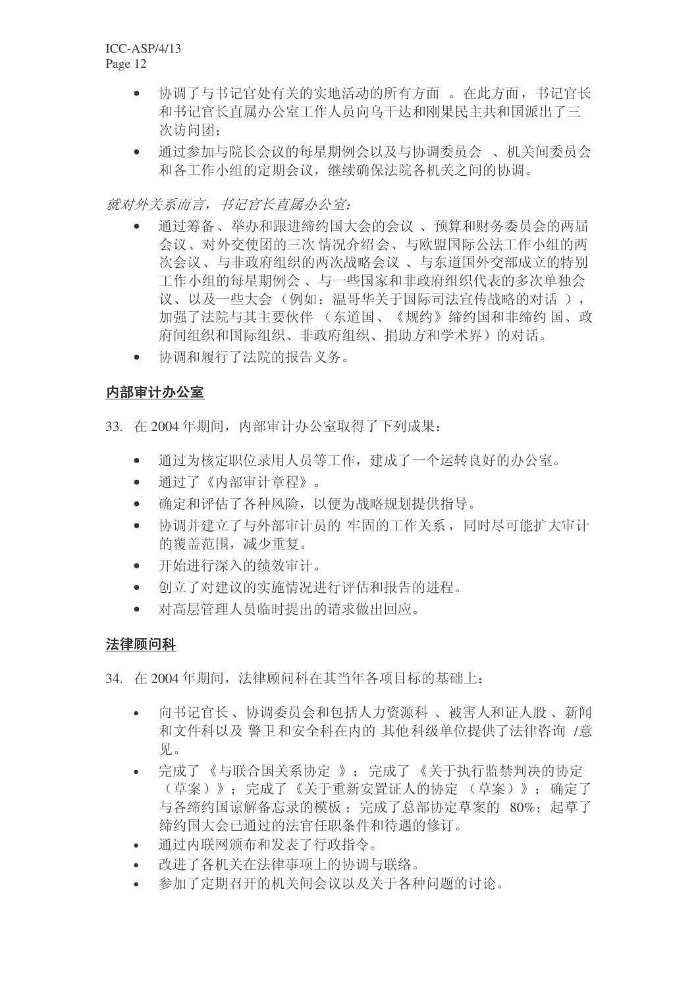- 协调了与书记官处有关的实地活动的所有方面。在此方面, 书记官长 和书记官长直属办公室工作人员向乌干达和刚果民主共和国派出了三 次访问团:
- 通过参加与院长会议的每星期例会以及与协调委员会 、机关间委员会 和各工作小组的定期会议, 继续确保法院各机关之间的协调。

就对外关系而言, 书记官长直属办公室:

- 通过筹备、举办和跟进缔约国大会的会议、预算和财务委员会的两届 会议、对外交使团的三次情况介绍会、与欧盟国际公法工作小组的两 次会议、与非政府组织的两次战略会议、与东道国外交部成立的特别 工作小组的每是期例会、与一些国家和非政府组织代表的多次单独会 议、以及一些大会(例如: 温哥华关于国际司法宣传战略的对话), 加强了法院与其主要伙伴 (东道国、《规约》缔约国和非缔约国、政 府间组织和国际组织、非政府组织、捐助方和学术界)的对话。
- 协调和履行了法院的报告义务。

# 内部审计办公室

- 33. 在2004年期间, 内部审计办公室取得了下列成果:
	- 通过为核定职位录用人员等工作, 建成了一个运转良好的办公室。
	- 通过了《内部审计章程》。
	- 确定和评估了各种风险, 以便为战略规划提供指导。
	- 协调并建立了与外部审计员的 牢固的工作关系, 同时尽可能扩大审计 的覆盖范围,减少重复。
	- 开始进行深入的绩效审计。
	- 创立了对建议的实施情况进行评估和报告的进程。
	- 对高层管理人员临时提出的请求做出回应。

# 法律顾问科

34. 在2004年期间, 法律顾问科在其当年各项目标的基础上:

- 向书记官长、协调委员会和包括人力资源科、被害人和证人股、新闻 和文件科以及警卫和安全科在内的其他科级单位提供了法律咨询 /意 见。
- 完成了《与联合国关系协定 》; 完成了《关于执行监禁判决的协定 (草案)》: 完成了《关于重新安置证人的协定 (草案)》: 确定了 与各缔约国谅解备忘录的模板: 完成了总部协定草案的 80%; 起草了 缔约国大会已通过的法官任职条件和待遇的修订。
- 通过内联网颁布和发表了行政指令。
- 改讲了各机关在法律事项上的协调与联络。
- 参加了定期召开的机关间会议以及关于各种问题的讨论。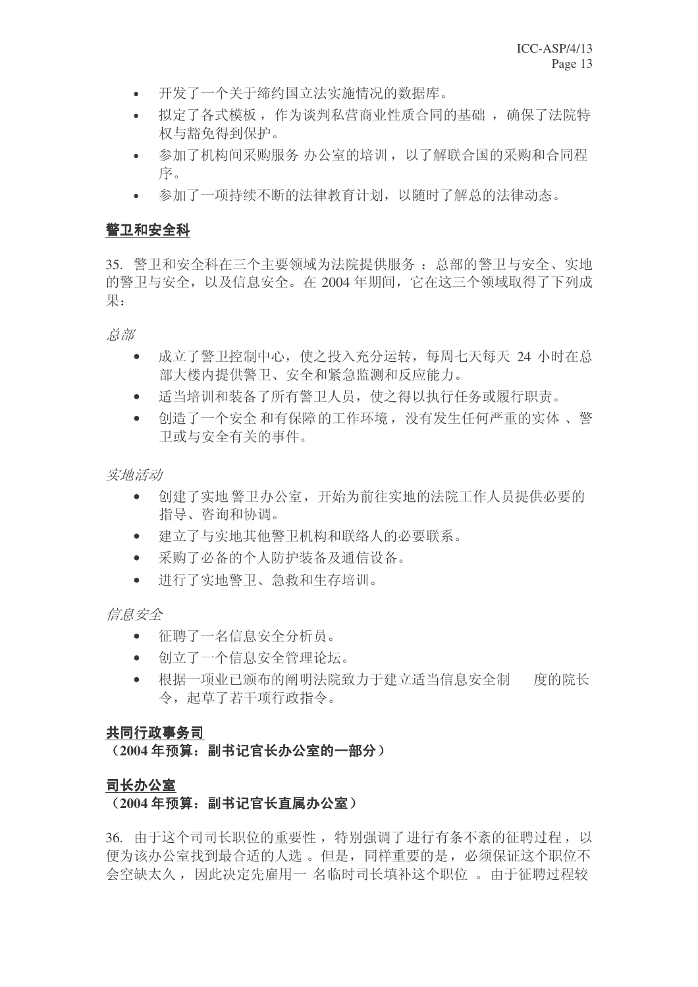- 开发了一个关于缔约国立法实施情况的数据库。
- 拟定了各式模板, 作为谈判私营商业性质合同的基础, 确保了法院特 权与豁免得到保护。
- 参加了机构间采购服务 办公室的培训 ,以了解联合国的采购和合同程 序。
- 参加了一项持续不断的法律教育计划, 以随时了解总的法律动态。

# 警卫和安全科

35. 警卫和安全科在三个主要领域为法院提供服务:总部的警卫与安全、实地 的警卫与安全, 以及信息安全。在 2004 年期间, 它在这三个领域取得了下列成 果:

总部

- 成立了警卫控制中心, 使之投入充分运转, 每周七天每天 24 小时在总 部大楼内提供警卫、安全和紧急监测和反应能力。
- 适当培训和装备了所有警卫人员, 使之得以执行任务或履行职责。
- 创造了一个安全和有保障的工作环境, 没有发生任何严重的实体、警 卫或与安全有关的事件。

实地活动

- 创建了实地警卫办公室,开始为前往实地的法院工作人员提供必要的 指导、咨询和协调。
- 建立了与实地其他警卫机构和联络人的必要联系。
- 采购了必备的个人防护装备及通信设备。
- 进行了实地警卫、急救和生存培训。

信息安全

- 征聘了一名信息安全分析员。
- 向前了一个信息安全管理论坛。
- 根据一项业已颁布的阐明法院致力于建立适当信息安全制 度的院长 令, 起草了若干项行政指令。

# 共同行政事务司

# (2004年预算: 副书记官长办公室的一部分)

# 司长办公室

# (2004年预算: 副书记官长直属办公室)

36. 由于这个司司长职位的重要性, 特别强调了进行有条不紊的征聘过程, 以 便为该办公室找到最合适的人选。但是,同样重要的是,必须保证这个职位不 会空缺太久,因此决定先雇用一 名临时司长填补这个职位。由于征聘过程较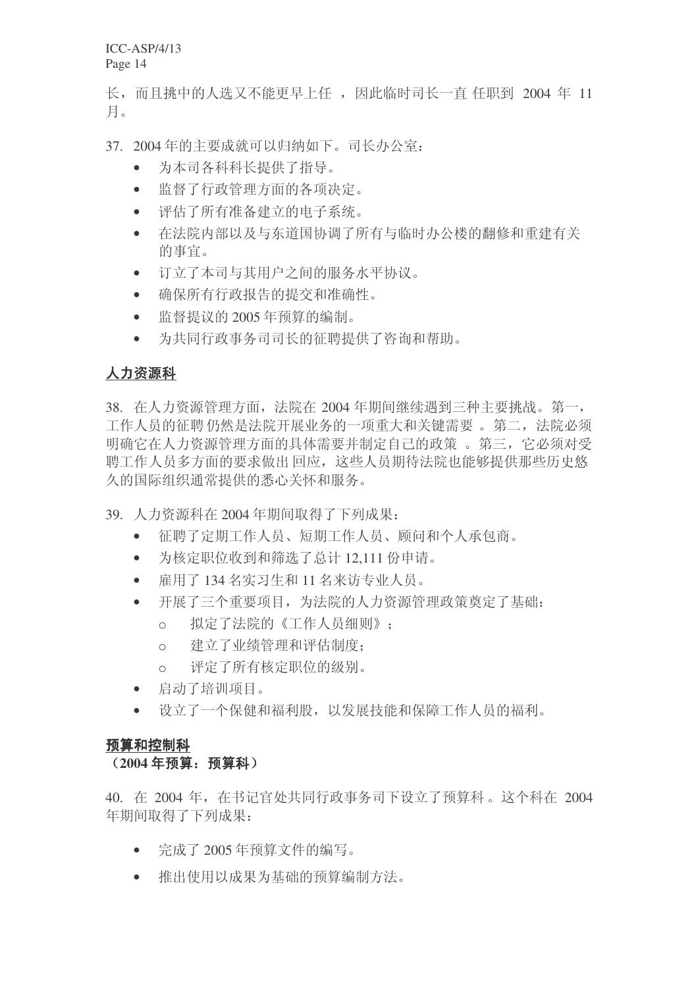长,而且挑中的人选又不能更早上任,因此临时司长一直任职到 2004 年 11 月。

37. 2004年的主要成就可以归纳如下。司长办公室:

- 为本司各科科长提供了指导。
- 监督了行政管理方面的各项决定。
- 评估了所有准备建立的电子系统。
- 在法院内部以及与东道国协调了所有与临时办公楼的翻修和重建有关 的事宜。
- 订立了本司与其用户之间的服务水平协议。
- 确保所有行政报告的提交和准确性。
- 监督提议的 2005 年预算的编制。
- 为共同行政事务司司长的征聘提供了咨询和帮助。

# 人力资源科

38. 在人力资源管理方面, 法院在 2004 年期间继续遇到三种主要挑战。第一, 工作人员的征聘仍然是法院开展业务的一项重大和关键需要。第二, 法院必须 明确它在人力资源管理方面的具体需要并制定自己的政策。第三,它必须对受 聘工作人员多方面的要求做出回应,这些人员期待法院也能够提供那些历史悠 久的国际组织通常提供的悉心关怀和服务。

- 39. 人力资源科在 2004 年期间取得了下列成果:
	- 征聘了定期工作人员、短期工作人员、顾问和个人承包商。
	- 为核定职位收到和筛选了总计 12.111 份申请。
	- 雇用了134名实习生和11名来访专业人员。
	- 开展了三个重要项目, 为法院的人力资源管理政策奠定了基础:
		- o 拟定了法院的《工作人员细则》:
		- o 建立了业绩管理和评估制度:
		- o 评定了所有核定职位的级别。
	- 启动了培训项目。
	- 设立了一个保健和福利股, 以发展技能和保障工作人员的福利。

## 预算和控制科

## (2004年预算: 预算科)

40. 在 2004 年, 在书记官处共同行政事务司下设立了预算科。这个科在 2004 年期间取得了下列成果:

- 完成了 2005 年预算文件的编写。
- 推出使用以成果为基础的预算编制方法。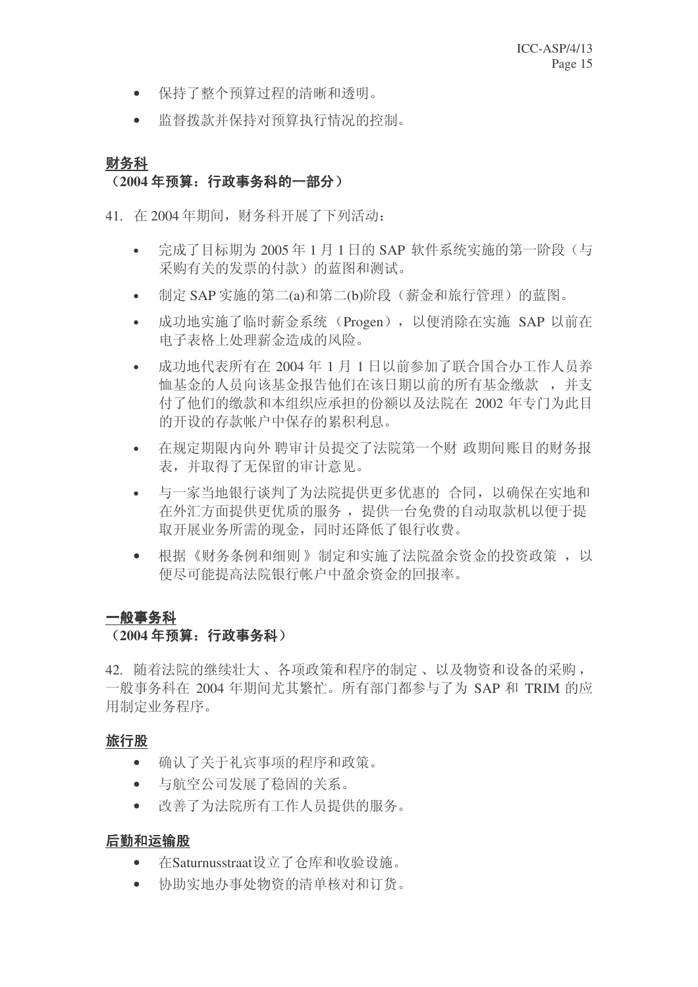- 保持了整个预算过程的清晰和透明。
- 监督拨款并保持对预算执行情况的控制。

# 财务科

# (2004 年预算: 行政事务科的一部分)

41. 在2004年期间, 财务科开展了下列活动:

- 完成了目标期为 2005年1月1日的 SAP 软件系统实施的第一阶段(与 采购有关的发票的付款)的蓝图和测试。
- 制定 SAP 实施的第二(a)和第二(b)阶段(薪金和旅行管理)的蓝图。
- 成功地实施了临时薪金系统 (Progen), 以便消除在实施 SAP 以前在 电子表格上处理薪金造成的风险。
- 成功地代表所有在 2004 年 1 月 1 日以前参加了联合国合办工作人员养 恤基金的人员向该基金报告他们在该日期以前的所有基金缴款,,并支 付了他们的缴款和本组织应承担的份额以及法院在 2002 年专门为此目 的开设的存款帐户中保存的累积利息。
- 在规定期限内向外 聘审计员提交了法院第一个财 政期间账目的财务报 表,并取得了无保留的审计意见。
- 与一家当地银行谈判了为法院提供更多优惠的 合同,以确保在实地和 在外汇方面提供更优质的服务, 提供一台免费的自动取款机以便于提 取开展业务所需的现金,同时还降低了银行收费。
- 根据《财务条例和细则》制定和实施了法院盈余资金的投资政策, 以 便尽可能提高法院银行帐户中盈余资金的回报率。

# 一般事务科

## (2004年预算: 行政事务科)

42. 随着法院的继续壮大、各项政策和程序的制定、以及物资和设备的采购, 一般事务科在 2004 年期间尤其繁忙。所有部门都参与了为 SAP 和 TRIM 的应 用制定业务程序。

## 旅行股

- 商认了关于礼宾事项的程序和政策。
- 与航空公司发展了稳固的关系。
- 改善了为法院所有工作人员提供的服务。

# 后勤和运输股

- 在Saturnusstraat设立了仓库和收验设施。
- 协助实地办事处物资的清单核对和订货。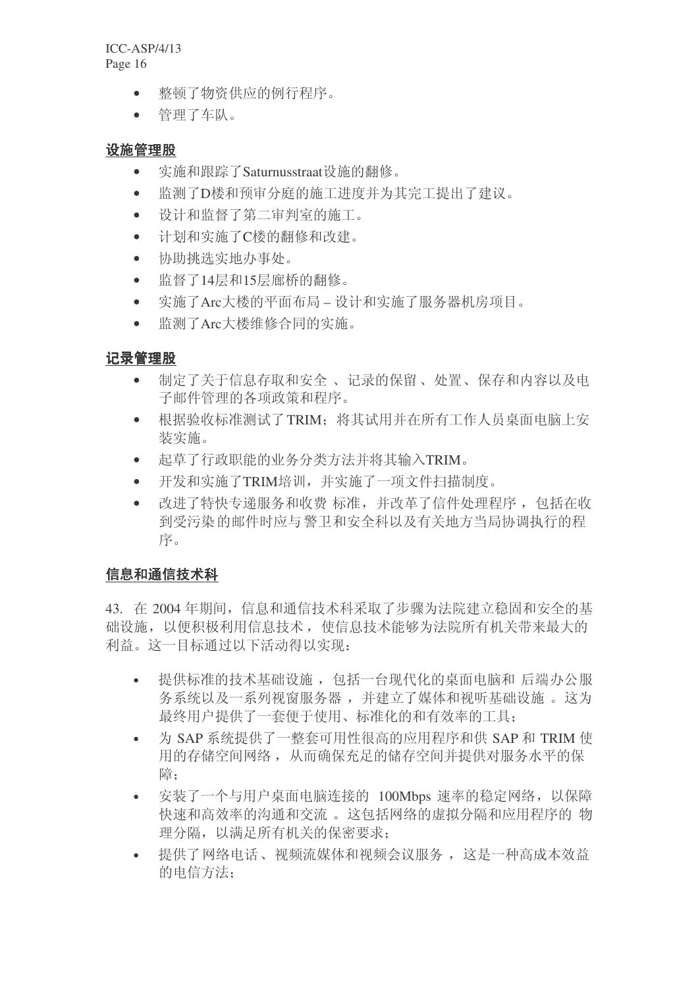- 整顿了物资供应的例行程序。
- 管理了车队。

## 设施管理股

- 实施和跟踪了Saturnusstraat设施的翻修。
- 监测了D楼和预审分庭的施工进度并为其完工提出了建议。
- 设计和监督了第二审判室的施工。
- 计划和实施了C楼的翻修和改建。
- 协助挑选实地办事处。
- 监督了14层和15层廊桥的翻修。
- 实施了Arc大楼的平面布局 设计和实施了服务器机房项目。
- 监测了Arc大楼维修合同的实施。

# 记录管理股

- 制定了关于信息存取和安全、记录的保留、处置、保存和内容以及电 子邮件管理的各项政策和程序。
- 根据验收标准测试了TRIM: 将其试用并在所有工作人员桌面电脑上安 装实施。
- 起草了行政职能的业务分类方法并将其输入TRIM。
- 开发和实施了TRIM培训,并实施了一项文件扫描制度。
- 改进了特快专递服务和收费标准,并改革了信件处理程序, 包括在收 到受污染的邮件时应与警卫和安全科以及有关地方当局协调执行的程 序。

# 信息和通信技术科

43. 在 2004年期间, 信息和通信技术科采取了步骤为法院建立稳固和安全的基 础设施,以便积极利用信息技术,使信息技术能够为法院所有机关带来最大的 利益。这一目标通过以下活动得以实现:

- 提供标准的技术基础设施, 包括一台现代化的桌面电脑和 后端办公服 务系统以及一系列视窗服务器,并建立了媒体和视听基础设施。这为 最终用户提供了一套便于使用、标准化的和有效率的工具:
- 为 SAP 系统提供了一整套可用性很高的应用程序和供 SAP 和 TRIM 伸 用的存储空间网络, 从而确保充足的储存空间并提供对服务水平的保 障:
- 安装了一个与用户桌面电脑连接的 100Mbps 速率的稳定网络, 以保障 快速和高效率的沟通和交流。这包括网络的虚拟分隔和应用程序的物 理分隔,以满足所有机关的保密要求:
- 提供了网络电话、视频流媒体和视频会议服务, 这是一种高成本效益 的电信方法: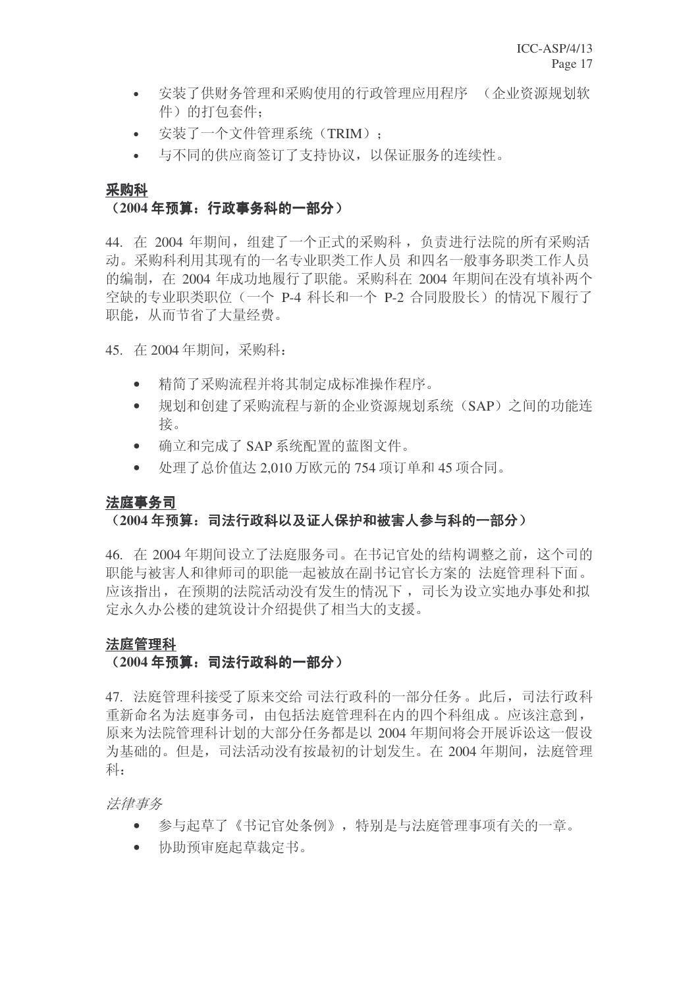- 安装了供财务管理和采购使用的行政管理应用程序 (企业资源规划软 件)的打包套件:
- 安装了一个文件管理系统(TRIM);
- 与不同的供应商签订了支持协议, 以保证服务的连续性。

#### 采购科

## (2004年预算: 行政事务科的一部分)

44. 在 2004 年期间, 组建了一个正式的采购科, 负责进行法院的所有采购活 动。采购科利用其现有的一名专业职类工作人员 和四名一般事务职类工作人员 的编制, 在 2004 年成功地履行了职能。采购科在 2004 年期间在没有填补两个 空缺的专业职类职位(一个 P-4 科长和一个 P-2 合同股股长)的情况下履行了 职能, 从而节省了大量经费。

45. 在 2004年期间, 采购科:

- 精简了采购流程并将其制定成标准操作程序。
- 规划和创建了采购流程与新的企业资源规划系统(SAP)之间的功能连 接。
- 确立和完成了 SAP 系统配置的蓝图文件。
- 处理了总价值达 2,010 万欧元的 754 项订单和 45 项合同。

## 法庭事务司

# <del>(2004年预算:司法行政科以及证人保护和被害人参与科的一部分)</del>

46. 在 2004年期间设立了法庭服务司。在书记官处的结构调整之前, 这个司的 职能与被害人和律师司的职能一起被放在副书记官长方案的 法庭管理科下面。 应该指出, 在预期的法院活动没有发生的情况下, 司长为设立实地办事处和拟 定永久办公楼的建筑设计介绍提供了相当大的支援。

## 法庭管理科

## (2004年预算: 司法行政科的一部分)

47. 法庭管理科接受了原来交给司法行政科的一部分任务。此后,司法行政科 重新命名为法庭事务司, 由包括法庭管理科在内的四个科组成。应该注意到, 原来为法院管理科计划的大部分任务都是以 2004 年期间将会开展诉讼这一假设 为基础的。但是,司法活动没有按最初的计划发生。在 2004 年期间, 法庭管理 科:

法律事务

- 参与起草了《书记官处条例》,特别是与法庭管理事项有关的一章。
- 协助预审庭起草裁定书。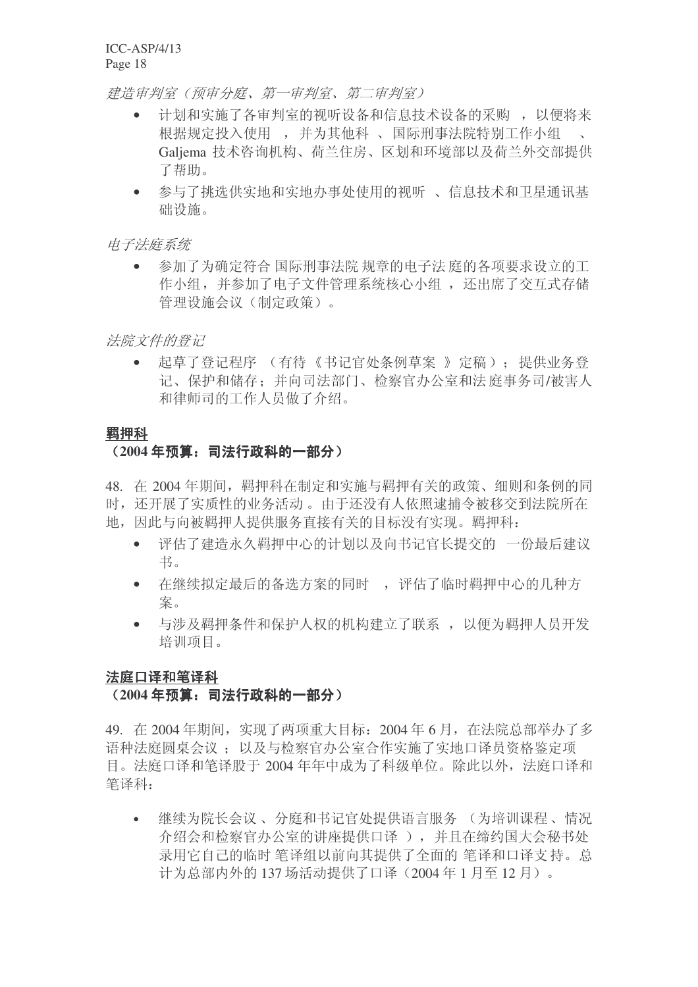建造审判室(预审分庭、第一审判室、第二审判室)

- 计划和实施了各审判室的视听设备和信息技术设备的采购, 以便将来 根据规定投入使用 , 并为其他科 、 国际刑事法院特别工作小组 Galjema 技术咨询机构、荷兰住房、区划和环境部以及荷兰外交部提供 了帮助。
- 参与了挑选供实地和实地办事处使用的视听、信息技术和卫星通讯基 础设施。

## 电子法庭系统

参加了为确定符合 国际刑事法院 规章的电子法 庭的各项要求设立的工 作小组, 并参加了电子文件管理系统核心小组, 还出席了交互式存储 管理设施会议(制定政策)。

法院文件的登记

• 起草了登记程序 (有待《书记官处条例草案 》定稿): 提供业务登 记、保护和储存: 并向司法部门、检察官办公室和法庭事务司/被害人 和律师司的工作人员做了介绍。

#### 羁押科

# (2004年预算: 司法行政科的一部分)

48. 在 2004年期间, 羁押科在制定和实施与羁押有关的政策、细则和条例的同 时, 还开展了实质性的业务活动。由于还没有人依照逮捕令被移交到法院所在 地,因此与向被羁押人提供服务直接有关的目标没有实现。羁押科:

- 评估了建造永久羁押中心的计划以及向书记官长提交的 一份最后建议 书。
- 在继续拟定最后的备选方案的同时, 评估了临时羁押中心的几种方 案。
- 与涉及羁押条件和保护人权的机构建立了联系, 以便为羁押人员开发 培训项目。

## 法庭口译和笔译科

## (2004年预算: 司法行政科的一部分)

49. 在2004年期间, 实现了两项重大目标: 2004年6月, 在法院总部举办了多 语种法庭圆桌会议: 以及与检察官办公室合作实施了实地口译员资格鉴定项 目。法庭口译和笔译股于 2004 年年中成为了科级单位。除此以外, 法庭口译和 笔译科:

继续为院长会议、分庭和书记官处提供语言服务 (为培训课程、情况 介绍会和检察官办公室的讲座提供口译), 并且在缔约国大会秘书处 录用它自己的临时 笔译组以前向其提供了全面的 笔译和口译支持。总 计为总部内外的 137 场活动提供了口译 (2004年1月至12月)。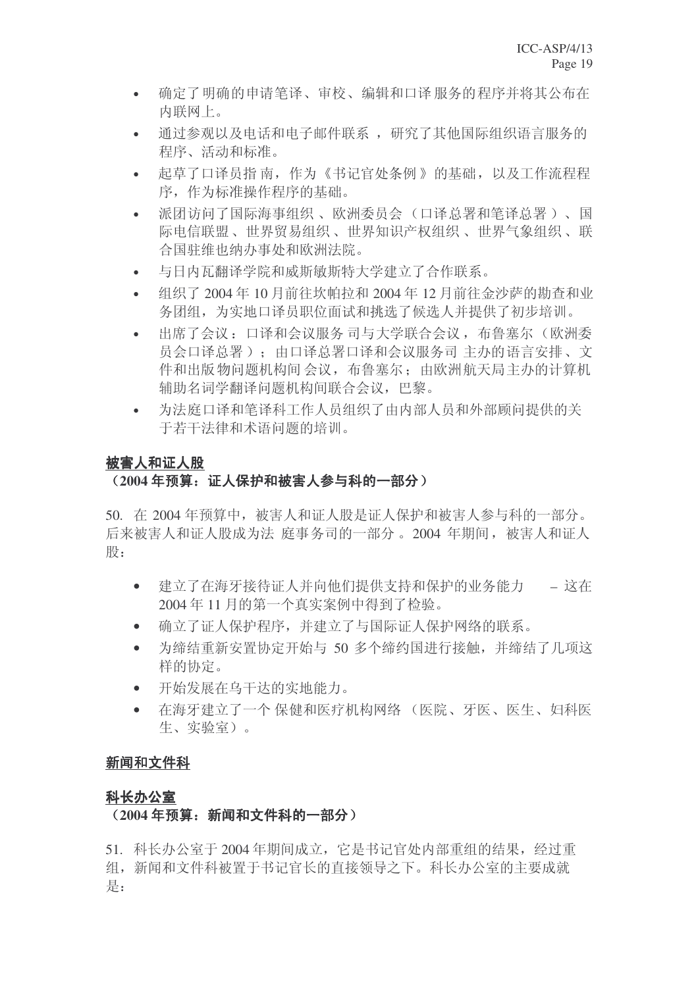- 确定了明确的申请笔译、审校、编辑和口译服务的程序并将其公布在 内联网上。
- 通过参观以及电话和电子邮件联系, 研究了其他国际组织语言服务的 程序、活动和标准。
- 起草了口译员指南,作为《书记官处条例》的基础,以及工作流程程 序, 作为标准操作程序的基础。
- 派团访问了国际海事组织、欧洲委员会(口译总署和笔译总署)、国 际电信联盟、世界贸易组织、世界知识产权组织、世界气象组织、联 合国驻维也纳办事处和欧洲法院。
- 与日内瓦翻译学院和威斯敏斯特大学建立了合作联系。
- 组织了 2004年10月前往坎帕拉和 2004年12月前往金沙萨的勘查和业 务团组, 为实地口译员职位面试和挑选了候选人并提供了初步培训。
- 出席了会议: 口译和会议服务司与大学联合会议, 布鲁塞尔(欧洲委 员会口译总署): 由口译总署口译和会议服务司 主办的语言安排、文 件和出版物问题机构间会议,布鲁塞尔:由欧洲航天局主办的计算机 辅助名词学翻译问题机构间联合会议, 巴黎。
- 为法庭口译和笔译科工作人员组织了由内部人员和外部顾问提供的关 干若干法律和术语问题的培训。

# 被害人和证人股

# (2004 年预算: 证人保护和被害人参与科的一部分)

50. 在 2004 年预算中, 被害人和证人股是证人保护和被害人参与科的一部分。 后来被害人和证人股成为法 庭事务司的一部分。2004 年期间,被害人和证人 股:

- 建立了在海牙接待证人并向他们提供支持和保护的业务能力 这在 2004年11月的第一个真实案例中得到了检验。
- 确立了证人保护程序, 并建立了与国际证人保护网络的联系。
- 为缔结重新安置协定开始与 50 多个缔约国讲行接触, 并缔结了几项这 样的协定。
- 开始发展在乌干达的实地能力。
- 右海牙建立了一个 保健和医疗机构网络 (医院、牙医、医生、妇科医 生、实验室)。

# 新闻和文件科

# 科长办公室

## (2004年预算: 新闻和文件科的一部分)

51. 科长办公室于 2004 年期间成立, 它是书记官处内部重组的结果, 经过重 组, 新闻和文件科被置于书记官长的直接领导之下。科长办公室的主要成就 是: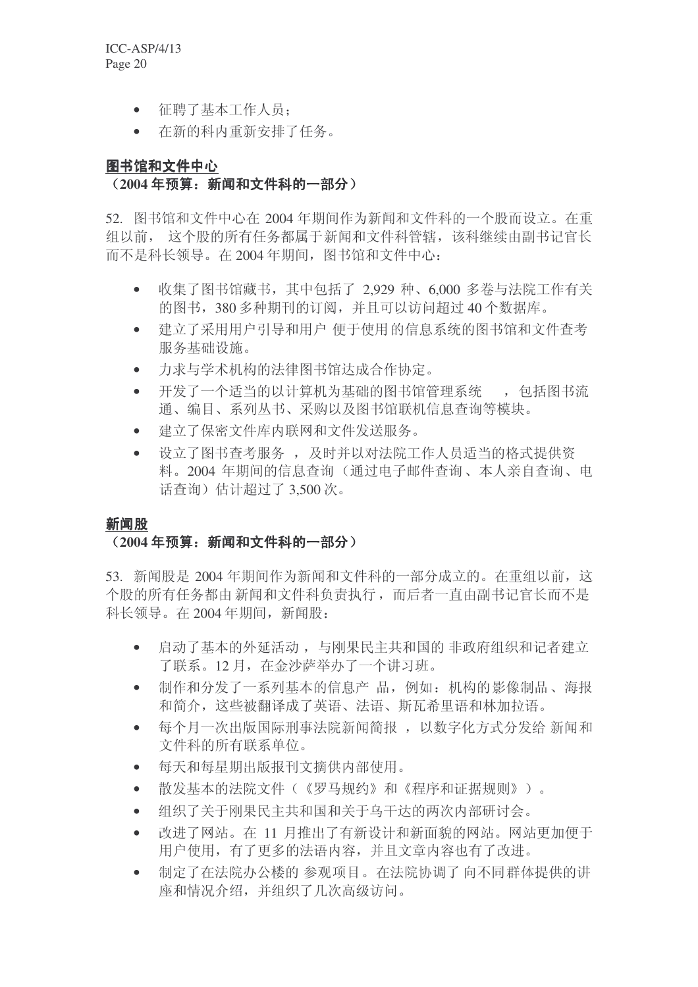- 征聘了基本工作人员:
- 在新的科内重新安排了任务。

# 图书馆和文件中心 (2004年预算: 新闻和文件科的一部分)

52. 图书馆和文件中心在 2004 年期间作为新闻和文件科的一个股而设立。在重 组以前, 这个股的所有任务都属于新闻和文件科管辖, 该科继续由副书记官长 而不是科长领导。在2004年期间, 图书馆和文件中心:

- 收集了图书馆藏书, 其中包括了 2,929 种、6,000 多卷与法院工作有关 的图书, 380 多种期刊的订阅, 并且可以访问超过 40 个数据库。
- 建立了采用用户引导和用户 便于使用的信息系统的图书馆和文件杳考 服务基础设施。
- 力求与学术机构的法律图书馆达成合作协定。
- 开发了一个适当的以计算机为基础的图书馆管理系统 , 包括图书流 通、编目、系列从书、采购以及图书馆联机信息杳询等模块。
- 建立了保察文件库内联网和文件发送服务。
- 设立了图书查考服务, 及时并以对法院工作人员适当的格式提供资 料。2004 年期间的信息杳询(通过电子邮件杳询、本人亲自杳询、电 话杳询)估计超过了 3.500 次。

## 新闻股

# <u>(2004 年预算: 新闻和文件科的一部分)</u>

53. 新闻股是 2004 年期间作为新闻和文件科的一部分成立的。在重组以前, 这 个股的所有任务都由新闻和文件科负责执行,而后者一直由副书记官长而不是 科长领导。在2004年期间,新闻股:

- 启动了基本的外延活动, 与刚果民主共和国的 非政府组织和记者建立 了联系。12月, 在金沙萨举办了一个讲习班。
- 制作和分发了一系列基本的信息产品, 例如: 机构的影像制品、海报 和简介, 这些被翻译成了英语、法语、斯瓦希里语和林加拉语。
- 每个月一次出版国际刑事法院新闻简报, 以数字化方式分发给 新闻和 文件科的所有联系单位。
- 每天和每星期出版报刊文摘供内部使用。
- 散发基本的法院文件(《罗马规约》和《程序和证据规则》)。
- 组织了关于刚果民主共和国和关于乌干达的两次内部研讨会。
- 改讲了网站。在 11 月推出了有新设计和新面貌的网站。网站更加便干 用户使用, 有了更多的法语内容, 并且文章内容也有了改进。
- 制定了在法院办公楼的 参观项目。在法院协调了向不同群体提供的讲 座和情况介绍,并组织了几次高级访问。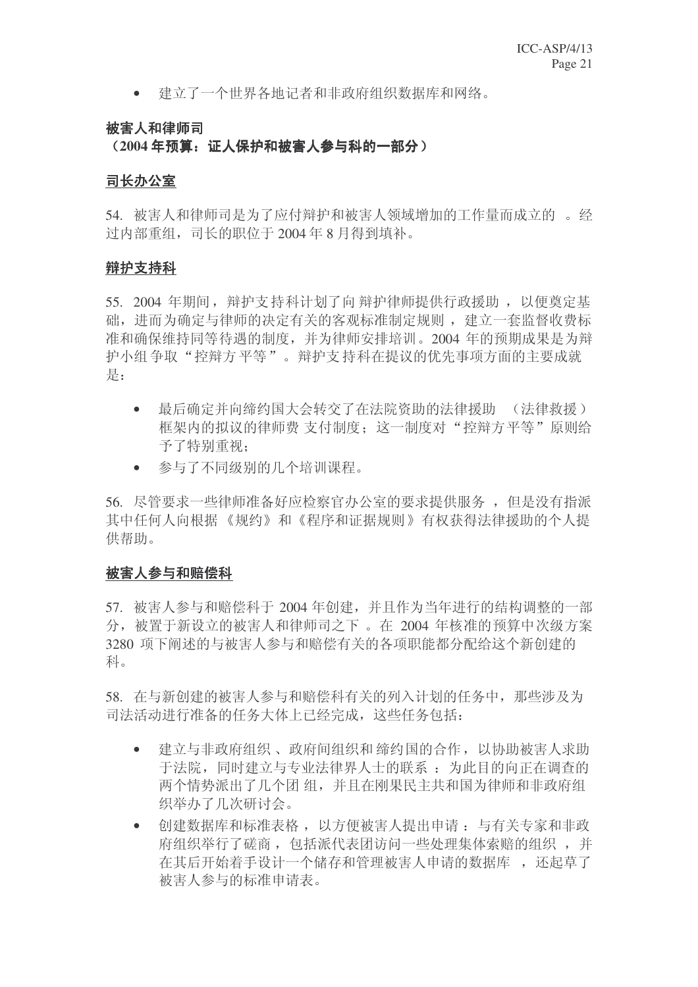• 建立了一个世界各地记者和非政府组织数据库和网络。

# 被害人和律师司

(2004年预算: 证人保护和被害人参与科的一部分)

## 司长办公室

54. 被害人和律师司是为了应付辩护和被害人领域增加的工作量而成立的 。 经 讨内部重组, 司长的职位于 2004 年 8 月得到填补。

## 辩护支持科

55. 2004 年期间, 辩护支持科计划了向辩护律师提供行政援助, 以便奠定基 础, 进而为确定与律师的决定有关的客观标准制定规则, 建立一套监督收费标 准和确保维持同等待遇的制度,并为律师安排培训。2004 年的预期成果是为辩 护小组争取"控辩方平等"。辩护支持科在提议的优先事项方面的主要成就 是:

- 最后确定并向缔约国大会转交了在法院资助的法律援助 (法律救援) 框架内的拟议的律师费 支付制度: 这一制度对"控辩方平等"原则给 予了特别重视:
- 参与了不同级别的几个培训课程。

56. 尽管要求一些律师准备好应检察官办公室的要求提供服务, 但是没有指派 其中任何人向根据《规约》和《程序和证据规则》有权获得法律援助的个人提 供帮助。

# 被害人参与和赔偿科

57. 被害人参与和赔偿科于 2004 年创建, 并且作为当年进行的结构调整的一部 分, 被置于新设立的被害人和律师司之下。在 2004 年核准的预算中次级方案 3280 项下阐述的与被害人参与和赔偿有关的各项职能都分配给这个新创建的 科。

58. 在与新创建的被害人参与和赔偿科有关的列入计划的任务中, 那些涉及为 司法活动讲行准备的任务大体上已经完成, 这些任务包括:

- 建立与非政府组织、政府间组织和 缔约国的合作, 以协助被害人求助 于法院, 同时建立与专业法律界人士的联系: 为此目的向正在调查的 两个情势派出了几个团 组, 并且在刚果民主共和国为律师和非政府组 织举办了几次研讨会。
- 创建数据库和标准表格, 以方便被害人提出申请: 与有关专家和非政 府组织举行了磋商, 包括派代表团访问一些处理集体索赔的组织, 并 在其后开始着手设计一个储存和管理被害人申请的数据库, 还起草了 被害人参与的标准申请表。